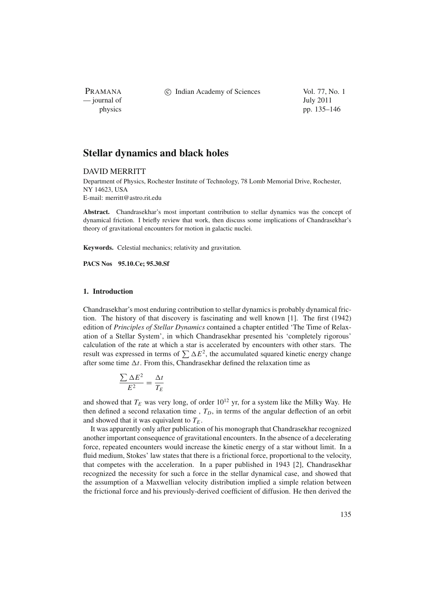PRAMANA — journal of July 2011

c Indian Academy of Sciences Vol. 77, No. 1

physics pp. 135–146

# **Stellar dynamics and black holes**

# DAVID MERRITT

Department of Physics, Rochester Institute of Technology, 78 Lomb Memorial Drive, Rochester, NY 14623, USA E-mail: merritt@astro.rit.edu

**Abstract.** Chandrasekhar's most important contribution to stellar dynamics was the concept of dynamical friction. I briefly review that work, then discuss some implications of Chandrasekhar's theory of gravitational encounters for motion in galactic nuclei.

**Keywords.** Celestial mechanics; relativity and gravitation.

**PACS Nos 95.10.Ce; 95.30.Sf**

### **1. Introduction**

Chandrasekhar's most enduring contribution to stellar dynamics is probably dynamical friction. The history of that discovery is fascinating and well known [1]. The first (1942) edition of *Principles of Stellar Dynamics* contained a chapter entitled 'The Time of Relaxation of a Stellar System', in which Chandrasekhar presented his 'completely rigorous' calculation of the rate at which a star is accelerated by encounters with other stars. The result was expressed in terms of  $\sum \Delta E^2$ , the accumulated squared kinetic energy change after some time  $\Delta t$ . From this, Chandrasekhar defined the relaxation time as

$$
\frac{\sum \Delta E^2}{E^2} = \frac{\Delta t}{T_E}
$$

and showed that  $T_E$  was very long, of order  $10^{12}$  yr, for a system like the Milky Way. He then defined a second relaxation time,  $T_D$ , in terms of the angular deflection of an orbit and showed that it was equivalent to  $T_E$ .

It was apparently only after publication of his monograph that Chandrasekhar recognized another important consequence of gravitational encounters. In the absence of a decelerating force, repeated encounters would increase the kinetic energy of a star without limit. In a fluid medium, Stokes' law states that there is a frictional force, proportional to the velocity, that competes with the acceleration. In a paper published in 1943 [2], Chandrasekhar recognized the necessity for such a force in the stellar dynamical case, and showed that the assumption of a Maxwellian velocity distribution implied a simple relation between the frictional force and his previously-derived coefficient of diffusion. He then derived the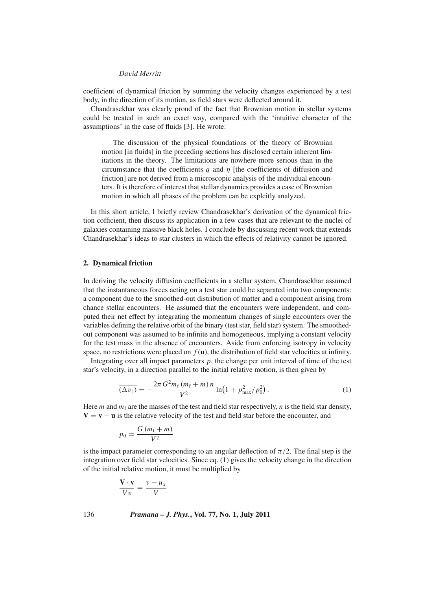coefficient of dynamical friction by summing the velocity changes experienced by a test body, in the direction of its motion, as field stars were deflected around it.

Chandrasekhar was clearly proud of the fact that Brownian motion in stellar systems could be treated in such an exact way, compared with the 'intuitive character of the assumptions' in the case of fluids [3]. He wrote:

The discussion of the physical foundations of the theory of Brownian motion [in fluids] in the preceding sections has disclosed certain inherent limitations in the theory. The limitations are nowhere more serious than in the circumstance that the coefficients *q* and η [the coefficients of diffusion and friction] are not derived from a microscopic analysis of the individual encounters. It is therefore of interest that stellar dynamics provides a case of Brownian motion in which all phases of the problem can be explcitly analyzed.

In this short article, I briefly review Chandrasekhar's derivation of the dynamical friction cofficient, then discuss its application in a few cases that are relevant to the nuclei of galaxies containing massive black holes. I conclude by discussing recent work that extends Chandrasekhar's ideas to star clusters in which the effects of relativity cannot be ignored.

### **2. Dynamical friction**

In deriving the velocity diffusion coefficients in a stellar system, Chandrasekhar assumed that the instantaneous forces acting on a test star could be separated into two components: a component due to the smoothed-out distribution of matter and a component arising from chance stellar encounters. He assumed that the encounters were independent, and computed their net effect by integrating the momentum changes of single encounters over the variables defining the relative orbit of the binary (test star, field star) system. The smoothedout component was assumed to be infinite and homogeneous, implying a constant velocity for the test mass in the absence of encounters. Aside from enforcing isotropy in velocity space, no restrictions were placed on  $f(\mathbf{u})$ , the distribution of field star velocities at infinity.

Integrating over all impact parameters  $p$ , the change per unit interval of time of the test star's velocity, in a direction parallel to the initial relative motion, is then given by

$$
\overline{(\Delta v_{\parallel})} = -\frac{2\pi G^2 m_f (m_f + m) n}{V^2} \ln(1 + p_{\text{max}}^2 / p_0^2). \tag{1}
$$

Here *m* and  $m_f$  are the masses of the test and field star respectively, *n* is the field star density,  $V = v - u$  is the relative velocity of the test and field star before the encounter, and

$$
p_0 = \frac{G (m_f + m)}{V^2}
$$

is the impact parameter corresponding to an angular deflection of  $\pi/2$ . The final step is the integration over field star velocities. Since eq. (1) gives the velocity change in the direction of the initial relative motion, it must be multiplied by

$$
\frac{\mathbf{V} \cdot \mathbf{v}}{Vv} = \frac{v - u_x}{V}
$$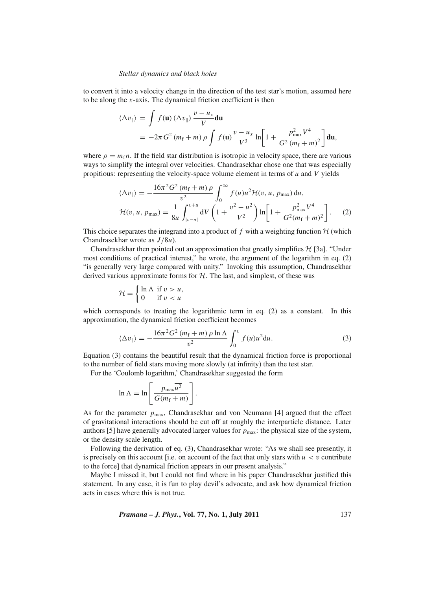to convert it into a velocity change in the direction of the test star's motion, assumed here to be along the *x*-axis. The dynamical friction coefficient is then

$$
\langle \Delta v_{\parallel} \rangle = \int f(\mathbf{u}) \overline{(\Delta v_{\parallel})} \frac{v - u_x}{V} d\mathbf{u}
$$
  
=  $-2\pi G^2 (m_f + m) \rho \int f(\mathbf{u}) \frac{v - u_x}{V^3} \ln \left[ 1 + \frac{p_{\text{max}}^2 V^4}{G^2 (m_f + m)^2} \right] d\mathbf{u},$ 

where  $\rho = m_f n$ . If the field star distribution is isotropic in velocity space, there are various ways to simplify the integral over velocities. Chandrasekhar chose one that was especially propitious: representing the velocity-space volume element in terms of *u* and *V* yields

$$
\langle \Delta v_{\parallel} \rangle = -\frac{16\pi^2 G^2 (m_f + m) \rho}{v^2} \int_0^{\infty} f(u) u^2 \mathcal{H}(v, u, p_{\text{max}}) du,
$$
  

$$
\mathcal{H}(v, u, p_{\text{max}}) = \frac{1}{8u} \int_{|v-u|}^{v+u} dV \left( 1 + \frac{v^2 - u^2}{V^2} \right) \ln \left[ 1 + \frac{p_{\text{max}}^2 V^4}{G^2 (m_f + m)^2} \right].
$$
 (2)

This choice separates the integrand into a product of f with a weighting function  $H$  (which Chandrasekhar wrote as *J*/8*u*).

Chandrasekhar then pointed out an approximation that greatly simplifies  $H$  [3a]. "Under most conditions of practical interest," he wrote, the argument of the logarithm in eq. (2) "is generally very large compared with unity." Invoking this assumption, Chandrasekhar derived various approximate forms for  $H$ . The last, and simplest, of these was

$$
\mathcal{H} = \begin{cases} \ln \Lambda & \text{if } v > u, \\ 0 & \text{if } v < u \end{cases}
$$

which corresponds to treating the logarithmic term in eq. (2) as a constant. In this approximation, the dynamical friction coefficient becomes

$$
\langle \Delta v_{\parallel} \rangle = -\frac{16\pi^2 G^2 (m_{\rm f} + m) \rho \ln \Lambda}{v^2} \int_0^v f(u) u^2 \mathrm{d}u. \tag{3}
$$

Equation (3) contains the beautiful result that the dynamical friction force is proportional to the number of field stars moving more slowly (at infinity) than the test star.

For the 'Coulomb logarithm,' Chandrasekhar suggested the form

$$
\ln \Lambda = \ln \left[ \frac{p_{\max} \overline{u^2}}{G(m_f + m)} \right].
$$

As for the parameter  $p_{\text{max}}$ , Chandrasekhar and von Neumann [4] argued that the effect of gravitational interactions should be cut off at roughly the interparticle distance. Later authors [5] have generally advocated larger values for  $p_{\text{max}}$ : the physical size of the system, or the density scale length.

Following the derivation of eq. (3), Chandrasekhar wrote: "As we shall see presently, it is precisely on this account [i.e. on account of the fact that only stars with  $u < v$  contribute to the force] that dynamical friction appears in our present analysis."

Maybe I missed it, but I could not find where in his paper Chandrasekhar justified this statement. In any case, it is fun to play devil's advocate, and ask how dynamical friction acts in cases where this is not true.

*Pramana – J. Phys.***, Vol. 77, No. 1, July 2011** 137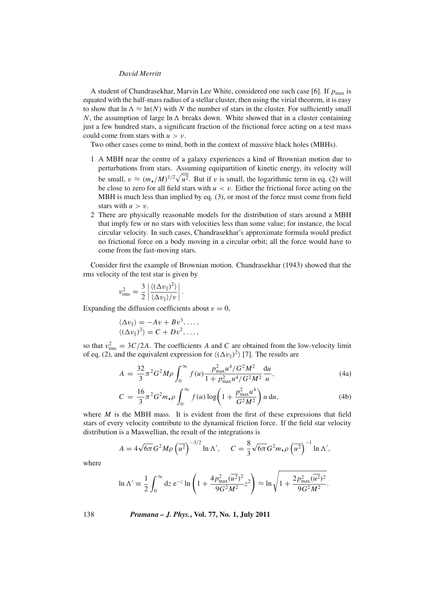A student of Chandrasekhar, Marvin Lee White, considered one such case [6]. If  $p_{\text{max}}$  is equated with the half-mass radius of a stellar cluster, then using the virial theorem, it is easy to show that  $\ln \Lambda \approx \ln(N)$  with *N* the number of stars in the cluster. For sufficiently small *N*, the assumption of large  $\ln \Lambda$  breaks down. White showed that in a cluster containing just a few hundred stars, a significant fraction of the frictional force acting on a test mass could come from stars with  $u > v$ .

Two other cases come to mind, both in the context of massive black holes (MBHs).

- 1 A MBH near the centre of a galaxy experiences a kind of Brownian motion due to perturbations from stars. Assuming equipartition of kinetic energy, its velocity will be small,  $v \approx (m_{\star}/M)^{1/2} \sqrt{\overline{u^2}}$ . But if v is small, the logarithmic term in eq. (2) will be close to zero for all field stars with  $u < v$ . Either the frictional force acting on the MBH is much less than implied by eq. (3), or most of the force must come from field stars with  $u > v$ .
- 2 There are physically reasonable models for the distribution of stars around a MBH that imply few or no stars with velocities less than some value; for instance, the local circular velocity. In such cases, Chandrasekhar's approximate formula would predict no frictional force on a body moving in a circular orbit; all the force would have to come from the fast-moving stars.

Consider first the example of Brownian motion. Chandrasekhar (1943) showed that the rms velocity of the test star is given by

$$
v_{\text{rms}}^2 = \frac{3}{2} \left| \frac{\langle (\Delta v_{\parallel})^2 \rangle}{\langle \Delta v_{\parallel} \rangle / v} \right|.
$$

Expanding the diffusion coefficients about  $v = 0$ ,

$$
\langle \Delta v_{\parallel} \rangle = -Av + Bv^3, \dots,
$$
  

$$
\langle (\Delta v_{\parallel})^2 \rangle = C + Dv^2, \dots,
$$

so that  $v_{\text{rms}}^2 = 3C/2A$ . The coefficients *A* and *C* are obtained from the low-velocity limit of eq. (2), and the equivalent expression for  $\langle (\Delta v_{\parallel})^2 \rangle$  [7]. The results are

$$
A = \frac{32}{3}\pi^2 G^2 M \rho \int_0^\infty f(u) \frac{p_{\text{max}}^2 u^4 / G^2 M^2}{1 + p_{\text{max}}^2 u^4 / G^2 M^2} \frac{du}{u},\tag{4a}
$$

$$
C = \frac{16}{3}\pi^2 G^2 m_\star \rho \int_0^\infty f(u) \log\left(1 + \frac{p_{\text{max}}^2 u^4}{G^2 M^2}\right) u \, \mathrm{d}u,\tag{4b}
$$

where *M* is the MBH mass. It is evident from the first of these expressions that field stars of every velocity contribute to the dynamical friction force. If the field star velocity distribution is a Maxwellian, the result of the integrations is

$$
A = 4\sqrt{6\pi} G^2 M \rho \left(\overline{u^2}\right)^{-3/2} \ln \Lambda', \quad C = \frac{8}{3} \sqrt{6\pi} G^2 m_\star \rho \left(\overline{u^2}\right)^{-1} \ln \Lambda',
$$

where

$$
\ln \Lambda' \equiv \frac{1}{2} \int_0^\infty dz \ e^{-z} \ln \left( 1 + \frac{4p_{\text{max}}^2 (\overline{u^2})^2}{9G^2 M^2} z^2 \right) \approx \ln \sqrt{1 + \frac{2p_{\text{max}}^2 (\overline{u^2})^2}{9G^2 M^2}}.
$$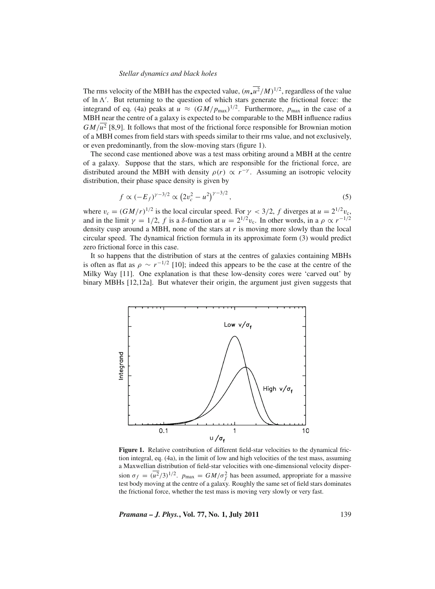The rms velocity of the MBH has the expected value,  $(m<sub>x</sub>u<sup>2</sup>/M)^{1/2}$ , regardless of the value of  $\ln \Lambda'$ . But returning to the question of which stars generate the frictional force: the integrand of eq. (4a) peaks at  $u \approx (GM/p_{\text{max}})^{1/2}$ . Furthermore,  $p_{\text{max}}$  in the case of a MBH near the centre of a galaxy is expected to be comparable to the MBH influence radius  $GM/\overline{u^2}$  [8,9]. It follows that most of the frictional force responsible for Brownian motion of a MBH comes from field stars with speeds similar to their rms value, and not exclusively, or even predominantly, from the slow-moving stars (figure 1).

The second case mentioned above was a test mass orbiting around a MBH at the centre of a galaxy. Suppose that the stars, which are responsible for the frictional force, are distributed around the MBH with density  $\rho(r) \propto r^{-\gamma}$ . Assuming an isotropic velocity distribution, their phase space density is given by

$$
f \propto (-E_f)^{\gamma - 3/2} \propto \left(2v_c^2 - u^2\right)^{\gamma - 3/2},\tag{5}
$$

where  $v_c = (GM/r)^{1/2}$  is the local circular speed. For  $\gamma < 3/2$ , f diverges at  $u = 2^{1/2}v_c$ , and in the limit  $\gamma = 1/2$ , *f* is a  $\delta$ -function at  $u = 2^{1/2}v_c$ . In other words, in a  $\rho \propto r^{-1/2}$ density cusp around a MBH, none of the stars at *r* is moving more slowly than the local circular speed. The dynamical friction formula in its approximate form (3) would predict zero frictional force in this case.

It so happens that the distribution of stars at the centres of galaxies containing MBHs is often as flat as  $\rho \sim r^{-1/2}$  [10]; indeed this appears to be the case at the centre of the Milky Way [11]. One explanation is that these low-density cores were 'carved out' by binary MBHs [12,12a]. But whatever their origin, the argument just given suggests that



**Figure 1.** Relative contribution of different field-star velocities to the dynamical friction integral, eq. (4a), in the limit of low and high velocities of the test mass, assuming a Maxwellian distribution of field-star velocities with one-dimensional velocity dispersion  $\sigma_f = (\overline{u^2}/3)^{1/2}$ .  $p_{\text{max}} = GM/\sigma_f^2$  has been assumed, appropriate for a massive test body moving at the centre of a galaxy. Roughly the same set of field stars dominates the frictional force, whether the test mass is moving very slowly or very fast.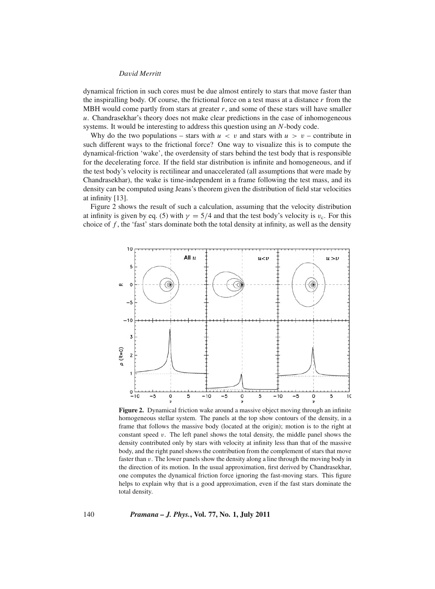dynamical friction in such cores must be due almost entirely to stars that move faster than the inspiralling body. Of course, the frictional force on a test mass at a distance *r* from the MBH would come partly from stars at greater  $r$ , and some of these stars will have smaller *u*. Chandrasekhar's theory does not make clear predictions in the case of inhomogeneous systems. It would be interesting to address this question using an *N*-body code.

Why do the two populations – stars with  $u < v$  and stars with  $u > v$  – contribute in such different ways to the frictional force? One way to visualize this is to compute the dynamical-friction 'wake', the overdensity of stars behind the test body that is responsible for the decelerating force. If the field star distribution is infinite and homogeneous, and if the test body's velocity is rectilinear and unaccelerated (all assumptions that were made by Chandrasekhar), the wake is time-independent in a frame following the test mass, and its density can be computed using Jeans's theorem given the distribution of field star velocities at infinity [13].

Figure 2 shows the result of such a calculation, assuming that the velocity distribution at infinity is given by eq. (5) with  $\gamma = 5/4$  and that the test body's velocity is  $v_c$ . For this choice of  $f$ , the 'fast' stars dominate both the total density at infinity, as well as the density



**Figure 2.** Dynamical friction wake around a massive object moving through an infinite homogeneous stellar system. The panels at the top show contours of the density, in a frame that follows the massive body (located at the origin); motion is to the right at constant speed  $v$ . The left panel shows the total density, the middle panel shows the density contributed only by stars with velocity at infinity less than that of the massive body, and the right panel shows the contribution from the complement of stars that move faster than v. The lower panels show the density along a line through the moving body in the direction of its motion. In the usual approximation, first derived by Chandrasekhar, one computes the dynamical friction force ignoring the fast-moving stars. This figure helps to explain why that is a good approximation, even if the fast stars dominate the total density.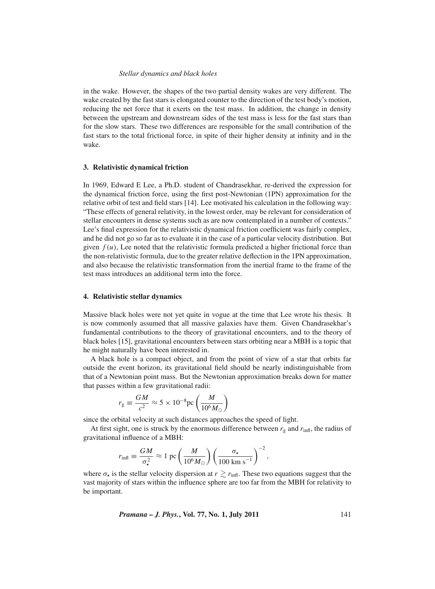in the wake. However, the shapes of the two partial density wakes are very different. The wake created by the fast stars is elongated counter to the direction of the test body's motion, reducing the net force that it exerts on the test mass. In addition, the change in density between the upstream and downstream sides of the test mass is less for the fast stars than for the slow stars. These two differences are responsible for the small contribution of the fast stars to the total frictional force, in spite of their higher density at infinity and in the wake.

### **3. Relativistic dynamical friction**

In 1969, Edward E Lee, a Ph.D. student of Chandrasekhar, re-derived the expression for the dynamical friction force, using the first post-Newtonian (1PN) approximation for the relative orbit of test and field stars [14]. Lee motivated his calculation in the following way: "These effects of general relativity, in the lowest order, may be relevant for consideration of stellar encounters in dense systems such as are now contemplated in a number of contexts." Lee's final expression for the relativistic dynamical friction coefficient was fairly complex, and he did not go so far as to evaluate it in the case of a particular velocity distribution. But given  $f(u)$ , Lee noted that the relativistic formula predicted a higher frictional force than the non-relativistic formula, due to the greater relative deflection in the 1PN approximation, and also because the relativistic transformation from the inertial frame to the frame of the test mass introduces an additional term into the force.

### **4. Relativistic stellar dynamics**

Massive black holes were not yet quite in vogue at the time that Lee wrote his thesis. It is now commonly assumed that all massive galaxies have them. Given Chandrasekhar's fundamental contributions to the theory of gravitational encounters, and to the theory of black holes [15], gravitational encounters between stars orbiting near a MBH is a topic that he might naturally have been interested in.

A black hole is a compact object, and from the point of view of a star that orbits far outside the event horizon, its gravitational field should be nearly indistinguishable from that of a Newtonian point mass. But the Newtonian approximation breaks down for matter that passes within a few gravitational radii:

$$
r_{\rm g} \equiv \frac{GM}{c^2} \approx 5 \times 10^{-8} \text{pc} \left(\frac{M}{10^6 M_\odot}\right)
$$

since the orbital velocity at such distances approaches the speed of light.

At first sight, one is struck by the enormous difference between  $r_g$  and  $r_{\text{infl}}$ , the radius of gravitational influence of a MBH:

$$
r_{\rm infl} \equiv \frac{GM}{\sigma_\star^2} \approx 1 \; {\rm pc} \left(\frac{M}{10^6 M_\odot}\right) \left(\frac{\sigma_\star}{100 \;{\rm km\;s}^{-1}}\right)^{-2},
$$

where  $\sigma_{\star}$  is the stellar velocity dispersion at  $r \gtrsim r_{\text{infl}}$ . These two equations suggest that the vast majority of stars within the influence sphere are too far from the MBH for relativity to be important.

*Pramana – J. Phys.***, Vol. 77, No. 1, July 2011** 141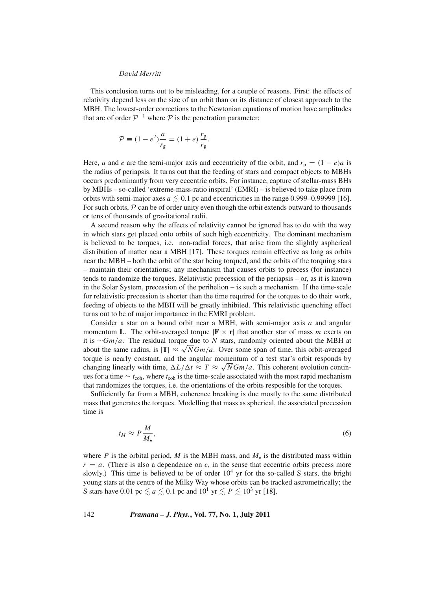This conclusion turns out to be misleading, for a couple of reasons. First: the effects of relativity depend less on the size of an orbit than on its distance of closest approach to the MBH. The lowest-order corrections to the Newtonian equations of motion have amplitudes that are of order  $\mathcal{P}^{-1}$  where  $\mathcal P$  is the penetration parameter:

$$
\mathcal{P} \equiv (1 - e^2) \frac{a}{r_g} = (1 + e) \frac{r_p}{r_g}.
$$

Here, *a* and *e* are the semi-major axis and eccentricity of the orbit, and  $r_p = (1 - e)a$  is the radius of periapsis. It turns out that the feeding of stars and compact objects to MBHs occurs predominantly from very eccentric orbits. For instance, capture of stellar-mass BHs by MBHs – so-called 'extreme-mass-ratio inspiral' (EMRI) – is believed to take place from orbits with semi-major axes  $a \leq 0.1$  pc and eccentricities in the range 0.999–0.99999 [16]. For such orbits,  $P$  can be of order unity even though the orbit extends outward to thousands or tens of thousands of gravitational radii.

A second reason why the effects of relativity cannot be ignored has to do with the way in which stars get placed onto orbits of such high eccentricity. The dominant mechanism is believed to be torques, i.e. non-radial forces, that arise from the slightly aspherical distribution of matter near a MBH [17]. These torques remain effective as long as orbits near the MBH – both the orbit of the star being torqued, and the orbits of the torquing stars – maintain their orientations; any mechanism that causes orbits to precess (for instance) tends to randomize the torques. Relativistic precession of the periapsis – or, as it is known in the Solar System, precession of the perihelion – is such a mechanism. If the time-scale for relativistic precession is shorter than the time required for the torques to do their work, feeding of objects to the MBH will be greatly inhibited. This relativistic quenching effect turns out to be of major importance in the EMRI problem.

Consider a star on a bound orbit near a MBH, with semi-major axis *a* and angular momentum **L**. The orbit-averaged torque  $|\mathbf{F} \times \mathbf{r}|$  that another star of mass *m* exerts on it is ∼*Gm*/*a*. The residual torque due to *N* stars, randomly oriented about the MBH at about the same radius, is  $|\mathbf{T}| \approx \sqrt{N G m/a}$ . Over some span of time, this orbit-averaged torque is nearly constant, and the angular momentum of a test star's orbit responds by torque is nearly constant, and the angular momentum or a test star s orbit responds by changing linearly with time,  $\Delta L/\Delta t \approx T \approx \sqrt{N} Gm/a$ . This coherent evolution continues for a time ∼ *t*coh, where *t*coh is the time-scale associated with the most rapid mechanism that randomizes the torques, i.e. the orientations of the orbits resposible for the torques.

Sufficiently far from a MBH, coherence breaking is due mostly to the same distributed mass that generates the torques. Modelling that mass as spherical, the associated precession time is

$$
t_M \approx P \frac{M}{M_\star},\tag{6}
$$

where *P* is the orbital period, *M* is the MBH mass, and  $M_{\star}$  is the distributed mass within  $r = a$ . (There is also a dependence on *e*, in the sense that eccentric orbits precess more slowly.) This time is believed to be of order  $10<sup>4</sup>$  yr for the so-called S stars, the bright young stars at the centre of the Milky Way whose orbits can be tracked astrometrically; the S stars have 0.01 pc  $\le a \le 0.1$  pc and  $10^1$  yr  $\le P \le 10^3$  yr [18].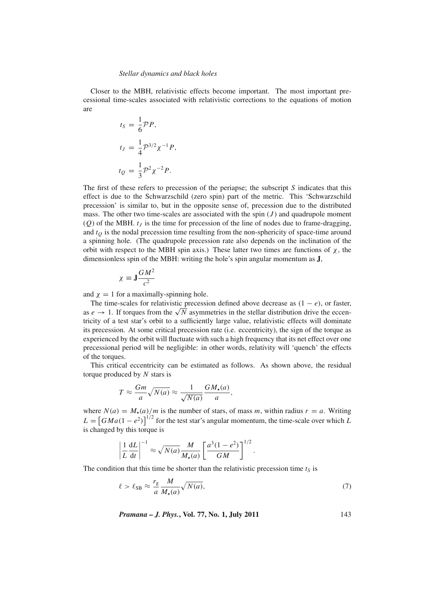Closer to the MBH, relativistic effects become important. The most important precessional time-scales associated with relativistic corrections to the equations of motion are

$$
t_S = \frac{1}{6} \mathcal{P} P,
$$
  
\n
$$
t_J = \frac{1}{4} \mathcal{P}^{3/2} \chi^{-1} P,
$$
  
\n
$$
t_Q = \frac{1}{3} \mathcal{P}^2 \chi^{-2} P.
$$

The first of these refers to precession of the periapse; the subscript *S* indicates that this effect is due to the Schwarzschild (zero spin) part of the metric. This 'Schwarzschild precession' is similar to, but in the opposite sense of, precession due to the distributed mass. The other two time-scales are associated with the spin (*J* ) and quadrupole moment  $(Q)$  of the MBH.  $t<sub>J</sub>$  is the time for precession of the line of nodes due to frame-dragging, and  $t<sub>O</sub>$  is the nodal precession time resulting from the non-sphericity of space-time around a spinning hole. (The quadrupole precession rate also depends on the inclination of the orbit with respect to the MBH spin axis.) These latter two times are functions of  $\chi$ , the dimensionless spin of the MBH: writing the hole's spin angular momentum as **J**,

$$
\chi \equiv J \frac{GM^2}{c^2}
$$

and  $\chi = 1$  for a maximally-spinning hole.

The time-scales for relativistic precession defined above decrease as  $(1 - e)$ , or faster, as  $e \rightarrow 1$ . If torques from the  $\sqrt{N}$  asymmetries in the stellar distribution drive the eccentricity of a test star's orbit to a sufficiently large value, relativistic effects will dominate its precession. At some critical precession rate (i.e. eccentricity), the sign of the torque as experienced by the orbit will fluctuate with such a high frequency that its net effect over one precessional period will be negligible: in other words, relativity will 'quench' the effects of the torques.

This critical eccentricity can be estimated as follows. As shown above, the residual torque produced by *N* stars is

$$
T \approx \frac{Gm}{a} \sqrt{N(a)} \approx \frac{1}{\sqrt{N(a)}} \frac{GM_{\star}(a)}{a},
$$

where  $N(a) = M_{\star}(a)/m$  is the number of stars, of mass *m*, within radius  $r = a$ . Writing  $L = [G M a (1 - e^2)]^{1/2}$  for the test star's angular momentum, the time-scale over which *L* is changed by this torque is

$$
\left|\frac{1}{L}\frac{\mathrm{d}L}{\mathrm{d}t}\right|^{-1} \approx \sqrt{N(a)}\frac{M}{M_{\star}(a)}\left[\frac{a^3(1-e^2)}{GM}\right]^{1/2}.
$$

The condition that this time be shorter than the relativistic precession time  $t<sub>S</sub>$  is

$$
\ell > \ell_{\text{SB}} \approx \frac{r_{\text{g}}}{a} \frac{M}{M_{\star}(a)} \sqrt{N(a)},\tag{7}
$$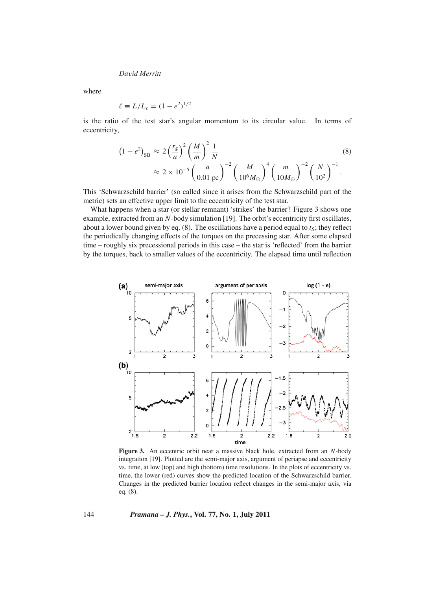where

$$
\ell \equiv L/L_c = (1 - e^2)^{1/2}
$$

is the ratio of the test star's angular momentum to its circular value. In terms of eccentricity,

$$
(1 - e^2)_{SB} \approx 2 \left(\frac{r_g}{a}\right)^2 \left(\frac{M}{m}\right)^2 \frac{1}{N}
$$
  
 
$$
\approx 2 \times 10^{-5} \left(\frac{a}{0.01 \text{ pc}}\right)^{-2} \left(\frac{M}{10^6 M_\odot}\right)^4 \left(\frac{m}{10M_\odot}\right)^{-2} \left(\frac{N}{10^2}\right)^{-1}.
$$
 (8)

This 'Schwarzschild barrier' (so called since it arises from the Schwarzschild part of the metric) sets an effective upper limit to the eccentricity of the test star.

What happens when a star (or stellar remnant) 'strikes' the barrier? Figure 3 shows one example, extracted from an *N*-body simulation [19]. The orbit's eccentricity first oscillates, about a lower bound given by eq.  $(8)$ . The oscillations have a period equal to  $t<sub>S</sub>$ ; they reflect the periodically changing effects of the torques on the precessing star. After some elapsed time – roughly six precessional periods in this case – the star is 'reflected' from the barrier by the torques, back to smaller values of the eccentricity. The elapsed time until reflection



**Figure 3.** An eccentric orbit near a massive black hole, extracted from an *N*-body integration [19]. Plotted are the semi-major axis, argument of periapse and eccentricity vs. time, at low (top) and high (bottom) time resolutions. In the plots of eccentricity vs. time, the lower (red) curves show the predicted location of the Schwarzschild barrier. Changes in the predicted barrier location reflect changes in the semi-major axis, via eq. (8).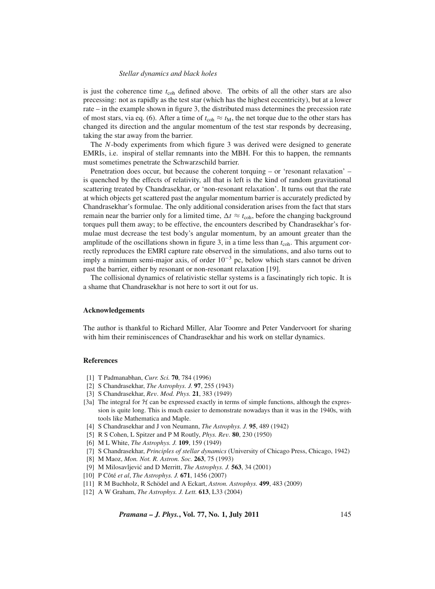is just the coherence time  $t_{\rm coh}$  defined above. The orbits of all the other stars are also precessing: not as rapidly as the test star (which has the highest eccentricity), but at a lower rate – in the example shown in figure 3, the distributed mass determines the precession rate of most stars, via eq. (6). After a time of  $t_{\text{coh}} \approx t_M$ , the net torque due to the other stars has changed its direction and the angular momentum of the test star responds by decreasing, taking the star away from the barrier.

The *N*-body experiments from which figure 3 was derived were designed to generate EMRIs, i.e. inspiral of stellar remnants into the MBH. For this to happen, the remnants must sometimes penetrate the Schwarzschild barrier.

Penetration does occur, but because the coherent torquing – or 'resonant relaxation' – is quenched by the effects of relativity, all that is left is the kind of random gravitational scattering treated by Chandrasekhar, or 'non-resonant relaxation'. It turns out that the rate at which objects get scattered past the angular momentum barrier is accurately predicted by Chandrasekhar's formulae. The only additional consideration arises from the fact that stars remain near the barrier only for a limited time,  $\Delta t \approx t_{\text{coh}}$ , before the changing background torques pull them away; to be effective, the encounters described by Chandrasekhar's formulae must decrease the test body's angular momentum, by an amount greater than the amplitude of the oscillations shown in figure 3, in a time less than  $t_{\rm coh}$ . This argument correctly reproduces the EMRI capture rate observed in the simulations, and also turns out to imply a minimum semi-major axis, of order  $10^{-3}$  pc, below which stars cannot be driven past the barrier, either by resonant or non-resonant relaxation [19].

The collisional dynamics of relativistic stellar systems is a fascinatingly rich topic. It is a shame that Chandrasekhar is not here to sort it out for us.

### **Acknowledgements**

The author is thankful to Richard Miller, Alar Toomre and Peter Vandervoort for sharing with him their reminiscences of Chandrasekhar and his work on stellar dynamics.

#### **References**

- [1] T Padmanabhan, *Curr. Sci.* **70**, 784 (1996)
- [2] S Chandrasekhar, *The Astrophys. J.* **97**, 255 (1943)
- [3] S Chandrasekhar, *Re*v*. Mod. Phys.* **21**, 383 (1949)
- [3a] The integral for  $H$  can be expressed exactly in terms of simple functions, although the expression is quite long. This is much easier to demonstrate nowadays than it was in the 1940s, with tools like Mathematica and Maple.
- [4] S Chandrasekhar and J von Neumann, *The Astrophys. J.* **95**, 489 (1942)
- [5] R S Cohen, L Spitzer and P M Routly, *Phys. Re*v*.* **80**, 230 (1950)
- [6] M L White, *The Astrophys. J.* **109**, 159 (1949)
- [7] S Chandrasekhar, *Principles of stellar dynamics* (University of Chicago Press, Chicago, 1942)
- [8] M Maoz, *Mon. Not. R. Astron. Soc.* **263**, 75 (1993)
- [9] M Milosavljević and D Merritt, *The Astrophys. J.* **563**, 34 (2001)
- [10] P Côté *et al*, *The Astrophys. J.* **671**, 1456 (2007)
- [11] R M Buchholz, R Schödel and A Eckart, *Astron. Astrophys.* **499**, 483 (2009)
- [12] A W Graham, *The Astrophys. J. Lett.* **613**, L33 (2004)